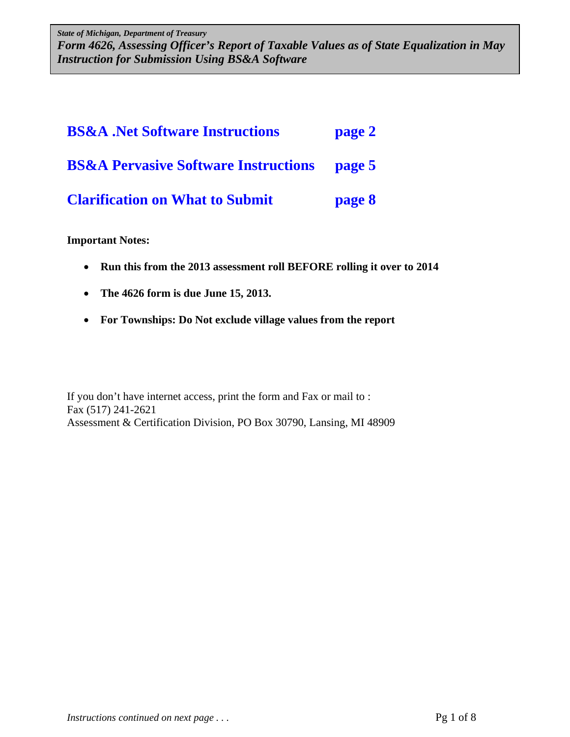*State of Michigan, Department of Treasury Form 4626, Assessing Officer's Report of Taxable Values as of State Equalization in May Form 4626, Assessing Officer's Report of Taxable Values as of State Equalization in May Instruction for Submission Using BS&A Software Instruction for Submission Using BS&A Software State of Michigan, Department of Treasury* 

| <b>BS&amp;A</b> .Net Software Instructions      | page 2 |
|-------------------------------------------------|--------|
| <b>BS&amp;A Pervasive Software Instructions</b> | page 5 |
| <b>Clarification on What to Submit</b>          | page 8 |

#### **Important Notes:**

- **Run this from the 2013 assessment roll BEFORE rolling it over to 2014**
- **The 4626 form is due June 15, 2013.**
- **For Townships: Do Not exclude village values from the report**

If you don't have internet access, print the form and Fax or mail to : Fax (517) 241-2621 Assessment & Certification Division, PO Box 30790, Lansing, MI 48909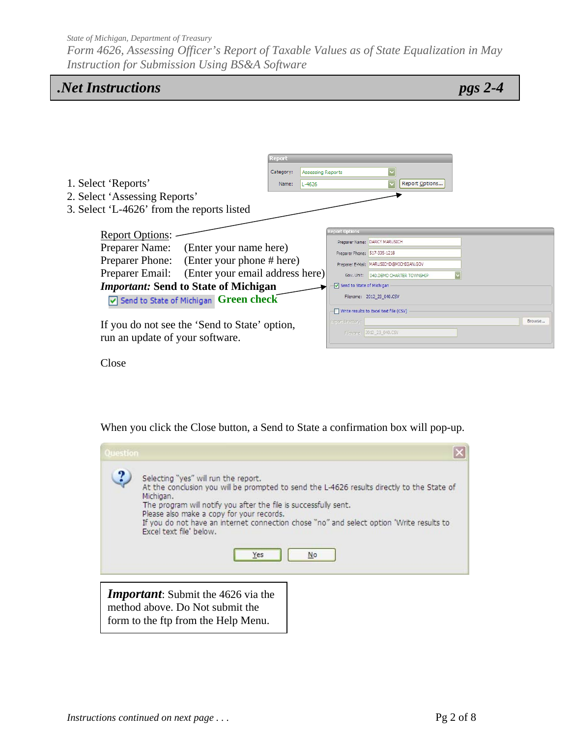*Form 4626, Assessing Officer's Report of Taxable Values as of State Equalization in May Instruction for Submission Using BS&A Software* 

| <b>Net Instructions</b> |  |
|-------------------------|--|
|-------------------------|--|

*pgs 2-4* 

|                                            |                                                       | Report    |                   |                                        |                                         |                                      |  |        |
|--------------------------------------------|-------------------------------------------------------|-----------|-------------------|----------------------------------------|-----------------------------------------|--------------------------------------|--|--------|
|                                            |                                                       | Category: | Assessing Reports |                                        |                                         |                                      |  |        |
| 1. Select 'Reports'                        |                                                       | Name:     | $L - 4626$        |                                        |                                         | Report Options                       |  |        |
| 2. Select 'Assessing Reports'              |                                                       |           |                   |                                        |                                         |                                      |  |        |
| 3. Select 'L-4626' from the reports listed |                                                       |           |                   |                                        |                                         |                                      |  |        |
|                                            |                                                       |           |                   |                                        |                                         |                                      |  |        |
| <b>Report Options:</b>                     |                                                       |           |                   | <b>Report Options</b>                  |                                         |                                      |  |        |
| Preparer Name:                             | (Enter your name here)                                |           |                   |                                        | Preparer Name: DARCY MARUSICH           |                                      |  |        |
|                                            |                                                       |           |                   | Preparer Phone: 517-335-1218           |                                         |                                      |  |        |
| <b>Preparer Phone:</b>                     | (Enter your phone # here)                             |           |                   |                                        | Preparer E-Mail: MARUSICHD@MICHIGAN.GOV |                                      |  |        |
| Preparer Email:                            | (Enter your email address here)                       |           |                   |                                        |                                         | Gov. Unit: 040.DEMO CHARTER TOWNSHIP |  |        |
|                                            | <i><b>Important: Send to State of Michigan</b></i>    |           |                   | Send to State of Michigan              |                                         |                                      |  |        |
|                                            | $\triangledown$ Send to State of Michigan Green check |           |                   |                                        | Filename: 2012_23_040.CSV               |                                      |  |        |
|                                            |                                                       |           |                   | Write results to Excel text file (CSV) |                                         |                                      |  |        |
|                                            | If you do not see the 'Send to State' option,         |           |                   | Export Directory                       |                                         |                                      |  | Browse |
| run an update of your software.            |                                                       |           |                   |                                        | Filename: 2012 23 040.CSV               |                                      |  |        |
|                                            |                                                       |           |                   |                                        |                                         |                                      |  |        |

Close

When you click the Close button, a Send to State a confirmation box will pop-up.

| Question |                                                                                                                                                                                                                                                                                                                                                                                                      |
|----------|------------------------------------------------------------------------------------------------------------------------------------------------------------------------------------------------------------------------------------------------------------------------------------------------------------------------------------------------------------------------------------------------------|
| ?.       | Selecting "yes" will run the report.<br>At the conclusion you will be prompted to send the L-4626 results directly to the State of<br>Michigan.<br>The program will notify you after the file is successfully sent.<br>Please also make a copy for your records.<br>If you do not have an internet connection chose "no" and select option 'Write results to<br>Excel text file' below.<br>No<br>Yes |
|          | <b>Important</b> : Submit the 4626 via the<br>method above. Do Not submit the                                                                                                                                                                                                                                                                                                                        |

form to the ftp from the Help Menu.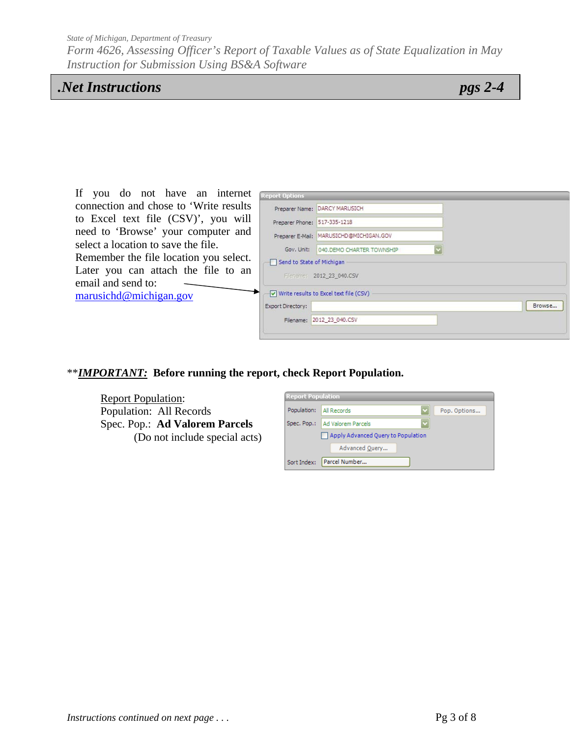*Form 4626, Assessing Officer's Report of Taxable Values as of State Equalization in May Instruction for Submission Using BS&A Software* 

# *.Net Instructions pgs 2-4*

| If you do not have an internet          | <b>Report Options</b>                    |        |
|-----------------------------------------|------------------------------------------|--------|
| connection and chose to 'Write results' | Preparer Name: DARCY MARUSICH            |        |
| to Excel text file (CSV)', you will     | Preparer Phone: 517-335-1218             |        |
| need to 'Browse' your computer and      | Preparer E-Mail: MARUSICHD@MICHIGAN.GOV  |        |
| select a location to save the file.     | Gov. Unit: 040. DEMO CHARTER TOWNSHIP    |        |
| Remember the file location you select.  | Send to State of Michigan                |        |
| Later you can attach the file to an     | Filename: 2012_23_040.CSV                |        |
| email and send to:                      |                                          |        |
| marusichd@michigan.gov                  | V Write results to Excel text file (CSV) |        |
|                                         | Export Directory:                        | Browse |
|                                         | Filename: 2012 23 040.CSV                |        |
|                                         |                                          |        |

### \*\**IMPORTANT:* **Before running the report, check Report Population.**

Report Population: Population: All Records Spec. Pop.: **Ad Valorem Parcels** (Do not include special acts)

| <b>Report Population</b> |                                    |              |
|--------------------------|------------------------------------|--------------|
| Population:              | All Records                        | Pop. Options |
| Spec. Pop.:              | Ad Valorem Parcels                 |              |
|                          | Apply Advanced Query to Population |              |
|                          | Advanced Query                     |              |
| Sort Index:              | Parcel Number                      |              |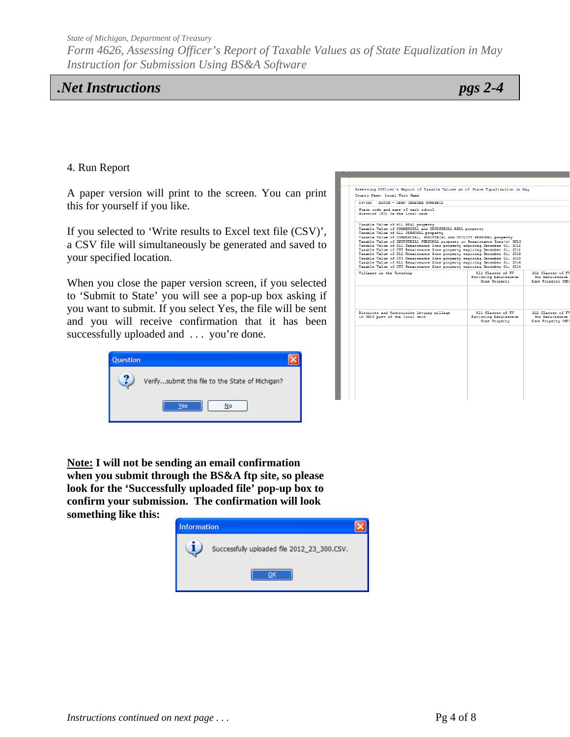*Form 4626, Assessing Officer's Report of Taxable Values as of State Equalization in May Instruction for Submission Using BS&A Software* 

# *.Net Instructions pgs 2-4*

#### 4. Run Report

A paper version will print to the screen. You can print this for yourself if you like.

If you selected to 'Write results to Excel text file (CSV)', a CSV file will simultaneously be generated and saved to your specified location.

When you close the paper version screen, if you selected to 'Submit to State' you will see a pop-up box asking if you want to submit. If you select Yes, the file will be sent and you will receive confirmation that it has been successfully uploaded and ... you're done.



| $23 - 040$<br>EATON - DEMO CHARTER TOWNSHIP                                                                                                                                                                                                                                                                                                                                                                                                                                                                                                                                                                                                                                                                                                                                   |                                                             |                                                            |
|-------------------------------------------------------------------------------------------------------------------------------------------------------------------------------------------------------------------------------------------------------------------------------------------------------------------------------------------------------------------------------------------------------------------------------------------------------------------------------------------------------------------------------------------------------------------------------------------------------------------------------------------------------------------------------------------------------------------------------------------------------------------------------|-------------------------------------------------------------|------------------------------------------------------------|
| State code and name of each school<br>district (SD) in the local unit                                                                                                                                                                                                                                                                                                                                                                                                                                                                                                                                                                                                                                                                                                         |                                                             |                                                            |
| Taxable Value of ALL REAL property<br>Taxable Value of COMMERCIAL and INDUSTRIAL REAL property<br>Taxable Value of ALL PERSONAL property<br>Taxable Value of COMMERCIAL. INDUSTRIAL and UTILITY PERSONAL property<br>Taxable Value of INDUSTRIAL PERSONAL property in Renaissance Zone(s) CNLY<br>Taxable Value of ALL Renaissance Zone property expiring December 31, 2012<br>Taxable Value of CUI Renaissance Zone property expiring December 31, 2012<br>Taxable Value of ALL Renaissance Zone property expiring December 31, 2013.<br>Taxable Value of CUI Renaissance Zone property expiring December 31, 2013<br>Taxable Value of ALL Renaissance Zone property expiring December 31, 2014<br>Taxable Value of CUI Renaissance Zone property expiring December 31, 2014 |                                                             |                                                            |
| Villages in the Township                                                                                                                                                                                                                                                                                                                                                                                                                                                                                                                                                                                                                                                                                                                                                      | All Classes of TV<br>Excluding Renaissance<br>Zone Property | All Classes of TV<br>for Renaissance<br>Zone Property ONLY |
| Districts and Authorities levying millage<br>in CNLY part of the local unit                                                                                                                                                                                                                                                                                                                                                                                                                                                                                                                                                                                                                                                                                                   | All Classes of TV<br>Excluding Renaissance<br>Zone Property | All Classes of TV<br>for Renaissance<br>Zone Property ONLY |
|                                                                                                                                                                                                                                                                                                                                                                                                                                                                                                                                                                                                                                                                                                                                                                               |                                                             |                                                            |
|                                                                                                                                                                                                                                                                                                                                                                                                                                                                                                                                                                                                                                                                                                                                                                               |                                                             |                                                            |
|                                                                                                                                                                                                                                                                                                                                                                                                                                                                                                                                                                                                                                                                                                                                                                               |                                                             |                                                            |

**Note: I will not be sending an email confirmation when you submit through the BS&A ftp site, so please look for the 'Successfully uploaded file' pop-up box to confirm your submission. The confirmation will look something like this:**

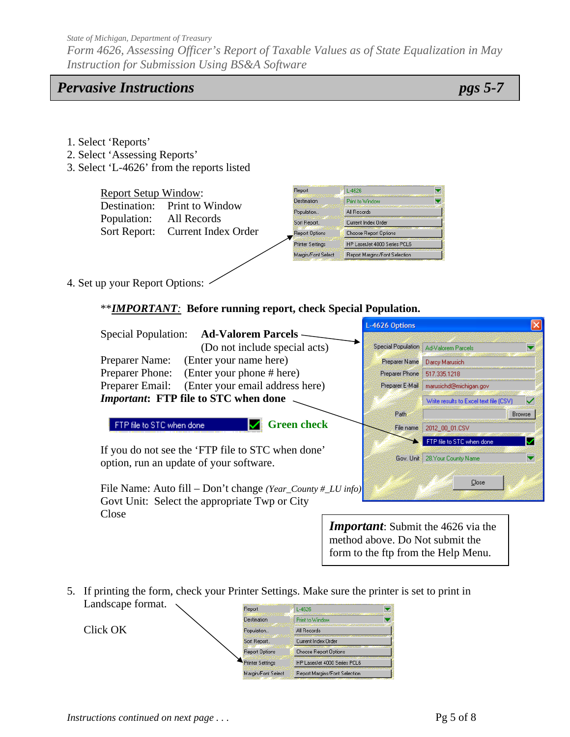*Form 4626, Assessing Officer's Report of Taxable Values as of State Equalization in May Instruction for Submission Using BS&A Software* 

### *Pervasive Instructions pgs 5-7*

- 1. Select 'Reports'
- 2. Select 'Assessing Reports'
- 3. Select 'L-4626' from the reports listed

| <b>Report Setup Window:</b> |                                  | Report                  | $L-4626$                      |
|-----------------------------|----------------------------------|-------------------------|-------------------------------|
|                             | Destination: Print to Window     | <b>Destination</b>      | Print to Window               |
|                             |                                  | Population              | All Records                   |
| Population:                 | All Records                      | Sort Report             | Current Index Order           |
|                             | Sort Report: Current Index Order | <b>Report Options</b>   | Choose Report Options         |
|                             |                                  | <b>Printer Settings</b> | HP LaserJet 4000 Series PCL6  |
|                             |                                  | Margin/Font Select      | Report Margins/Font Selection |
|                             |                                  |                         |                               |

4. Set up your Report Options:

\*\**IMPORTANT:* **Before running report, check Special Population.** 

|                                                                                                              | L-4626 Options                                                                                                      |                                                             |                              |
|--------------------------------------------------------------------------------------------------------------|---------------------------------------------------------------------------------------------------------------------|-------------------------------------------------------------|------------------------------|
| <b>Ad-Valorem Parcels –</b><br><b>Special Population:</b>                                                    |                                                                                                                     |                                                             |                              |
| (Do not include special acts)                                                                                |                                                                                                                     | Special Population   Ad-Valorem Parcels                     | $\overline{\textbf{v}}$      |
| (Enter your name here)<br>Preparer Name:                                                                     | Preparer Name                                                                                                       | Darcy Marusich                                              |                              |
| Preparer Phone:<br>(Enter your phone # here)                                                                 | Preparer Phone:                                                                                                     | 517.335.1218                                                |                              |
| Preparer Email:<br>(Enter your email address here)                                                           | Preparer E-Mail:                                                                                                    | marusichd@michigan.gov                                      |                              |
| <i>Important:</i> FTP file to STC when done                                                                  |                                                                                                                     | Write results to Excel text file (CSV)                      | ✓                            |
|                                                                                                              | Path.                                                                                                               |                                                             | Browse                       |
| <b>Green check</b><br>FTP file to STC when done                                                              | File name                                                                                                           | 2012_00_01.CSV                                              |                              |
| If you do not see the 'FTP file to STC when done'<br>option, run an update of your software.                 |                                                                                                                     | FTP file to STC when done<br>Gov. Unit: 28.Your County Name | ✓<br>$\overline{\textbf{v}}$ |
| File Name: Auto fill – Don't change (Year_County #_LU info)<br>Govt Unit: Select the appropriate Twp or City |                                                                                                                     | Close                                                       |                              |
| Close                                                                                                        |                                                                                                                     |                                                             |                              |
|                                                                                                              | <b>Important:</b> Submit the 4626 via the<br>method above. Do Not submit the<br>form to the ftp from the Help Menu. |                                                             |                              |

5. If printing the form, check your Printer Settings. Make sure the printer is set to print in Landscape format. Report  $L - 4626$ 

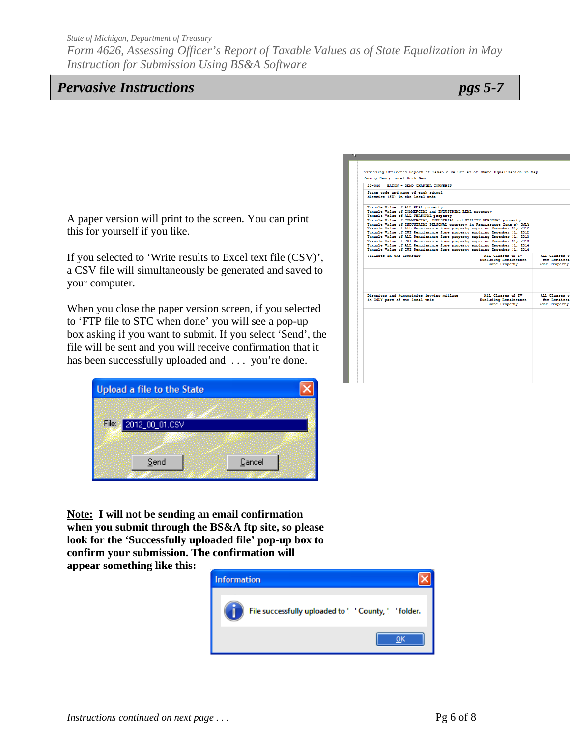*Form 4626, Assessing Officer's Report of Taxable Values as of State Equalization in May Instruction for Submission Using BS&A Software* 

# *Pervasive Instructions pgs 5-7*

A paper version will print to the screen. You can print this for yourself if you like.

If you selected to 'Write results to Excel text file (CSV)', a CSV file will simultaneously be generated and saved to your computer.

When you close the paper version screen, if you selected to 'FTP file to STC when done' you will see a pop-up box asking if you want to submit. If you select 'Send', the file will be sent and you will receive confirmation that it has been successfully uploaded and ... you're done.

|       | <b>Upload a file to the State</b> |        |  |
|-------|-----------------------------------|--------|--|
|       |                                   |        |  |
| File: | 2012_00_01.CSV                    |        |  |
|       |                                   |        |  |
|       | Send                              | Cancel |  |

**Note: I will not be sending an email confirmation when you submit through the BS&A ftp site, so please look for the 'Successfully uploaded file' pop-up box to confirm your submission. The confirmation will** 

**appear something like this:**



| $23 - 040$<br>EATON - DEMO CHARTER TOWNSHIP                                                                                                                                                                                                                                                                                                                                                                                                                                                                                                                                                                                                                                                                                                                                    |                                                             |                                             |
|--------------------------------------------------------------------------------------------------------------------------------------------------------------------------------------------------------------------------------------------------------------------------------------------------------------------------------------------------------------------------------------------------------------------------------------------------------------------------------------------------------------------------------------------------------------------------------------------------------------------------------------------------------------------------------------------------------------------------------------------------------------------------------|-------------------------------------------------------------|---------------------------------------------|
| State code and name of each school<br>district (SD) in the local unit                                                                                                                                                                                                                                                                                                                                                                                                                                                                                                                                                                                                                                                                                                          |                                                             |                                             |
| Taxable Value of ALL REAL property<br>Taxable Value of COMMERCIAL and INDUSTRIAL REAL property<br>Taxable Value of ALL PERSONAL property<br>Taxable Value of COMMERCIAL, INDUSTRIAL and UTILITY PERSONAL property<br>Taxable Value of INDUSTRIAL PERSONAL property in Renaissance Zone(s) ONLY<br>Taxable Value of ALL Renaissance Zone property expiring December 31, 2012<br>Taxable Value of CUI Renaissance Zone property expiring December 31, 2012<br>Taxable Value of ALL Renaissance Zone property expiring December 31, 2013.<br>Taxable Value of CUI Renaissance Zone property expiring December 31, 2013.<br>Taxable Value of ALL Renaissance Zone property expiring December 31, 2014<br>Taxable Value of CUI Renaissance Zone property expiring December 31, 2014 |                                                             |                                             |
| Villages in the Township                                                                                                                                                                                                                                                                                                                                                                                                                                                                                                                                                                                                                                                                                                                                                       | All Classes of TV<br>Excluding Renaissance<br>Zone Property | All Classes<br>for Renaiss<br>Zone Property |
| Districts and Authorities levying millage<br>in CNLY part of the local unit                                                                                                                                                                                                                                                                                                                                                                                                                                                                                                                                                                                                                                                                                                    | All Classes of TV<br>Excluding Renaissance<br>Zone Property | All Classes<br>for Renaiss<br>Zone Property |
|                                                                                                                                                                                                                                                                                                                                                                                                                                                                                                                                                                                                                                                                                                                                                                                |                                                             |                                             |
|                                                                                                                                                                                                                                                                                                                                                                                                                                                                                                                                                                                                                                                                                                                                                                                |                                                             |                                             |
|                                                                                                                                                                                                                                                                                                                                                                                                                                                                                                                                                                                                                                                                                                                                                                                |                                                             |                                             |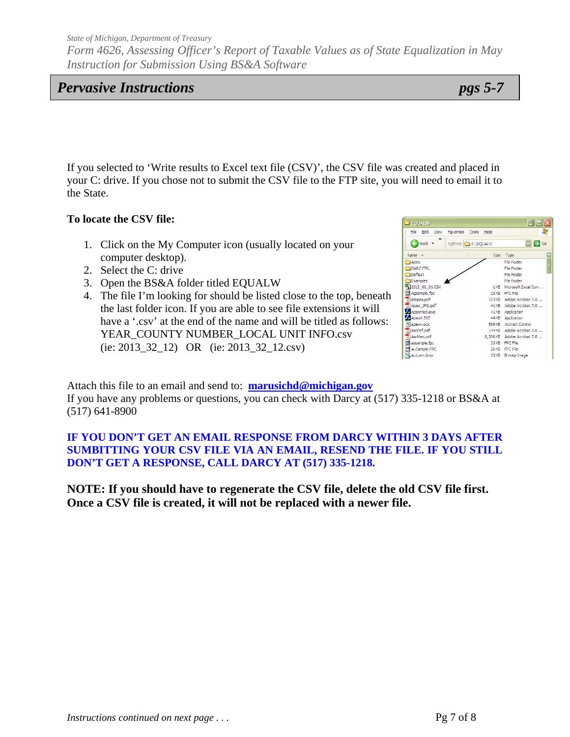*Form 4626, Assessing Officer's Report of Taxable Values as of State Equalization in May Instruction for Submission Using BS&A Software* 

# *Pervasive Instructions pgs 5-7*

If you selected to 'Write results to Excel text file (CSV)', the CSV file was created and placed in your C: drive. If you chose not to submit the CSV file to the FTP site, you will need to email it to the State.

### **To locate the CSV file:**

- 1. Click on the My Computer icon (usually located on your computer desktop).
- 2. Select the C: drive
- 3. Open the BS&A folder titled EQUALW
- 4. The file I'm looking for should be listed close to the top, beneath the last folder icon. If you are able to see file extensions it will have a '.csv' at the end of the name and will be titled as follows: YEAR\_COUNTY NUMBER\_LOCAL UNIT INFO.csv (ie: 2013\_32\_12) OR (ie: 2013\_32\_12.csv)



Attach this file to an email and send to: **marusichd@michigan.gov** If you have any problems or questions, you can check with Darcy at (517) 335-1218 or BS&A at (517) 641-8900

### **IF YOU DON'T GET AN EMAIL RESPONSE FROM DARCY WITHIN 3 DAYS AFTER SUMBITTING YOUR CSV FILE VIA AN EMAIL, RESEND THE FILE. IF YOU STILL DON'T GET A RESPONSE, CALL DARCY AT (517) 335-1218.**

**NOTE: If you should have to regenerate the CSV file, delete the old CSV file first. Once a CSV file is created, it will not be replaced with a newer file.**